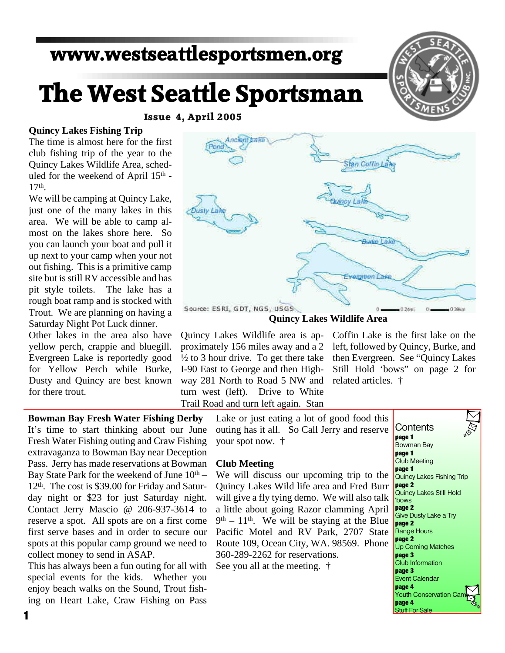# **www.westseattlesportsmen.org**

# **The West Seattle Sportsman**

**Issue 4, April 2005**

#### **Quincy Lakes Fishing Trip**

The time is almost here for the first club fishing trip of the year to the Quincy Lakes Wildlife Area, scheduled for the weekend of April 15<sup>th</sup> -17th .

We will be camping at Quincy Lake, just one of the many lakes in this area. We will be able to camp almost on the lakes shore here. So you can launch your boat and pull it up next to your camp when your not out fishing. This is a primitive camp site but is still RV accessible and has pit style toilets. The lake has a rough boat ramp and is stocked with Trout. We are planning on having a Saturday Night Pot Luck dinner.

Other lakes in the area also have yellow perch, crappie and bluegill. Evergreen Lake is reportedly good for Yellow Perch while Burke, Dusty and Quincy are best known for there trout.

**Bowman Bay Fresh Water Fishing Derby** It's time to start thinking about our June Fresh Water Fishing outing and Craw Fishing extravaganza to Bowman Bay near Deception Pass. Jerry has made reservations at Bowman Bay State Park for the weekend of June  $10<sup>th</sup>$  – 12th. The cost is \$39.00 for Friday and Saturday night or \$23 for just Saturday night. Contact Jerry Mascio @ 206-937-3614 to reserve a spot. All spots are on a first come first serve bases and in order to secure our spots at this popular camp ground we need to collect money to send in ASAP.

This has always been a fun outing for all with special events for the kids. Whether you enjoy beach walks on the Sound, Trout fishing on Heart Lake, Craw Fishing on Pass



Stan Coffin Law

Quincy Lakes Wildlife area is approximately 156 miles away and a 2  $\frac{1}{2}$  to 3 hour drive. To get there take I-90 East to George and then Highway 281 North to Road 5 NW and turn west (left). Drive to White Trail Road and turn left again. Stan

Coffin Lake is the first lake on the left, followed by Quincy, Burke, and then Evergreen. See "Quincy Lakes Still Hold 'bows" on page 2 for related articles. †

Lake or just eating a lot of good food this outing has it all. So Call Jerry and reserve your spot now. †

#### **Club Meeting**

We will discuss our upcoming trip to the Quincy Lakes Wild life area and Fred Burr will give a fly tying demo. We will also talk a little about going Razor clamming April  $9<sup>th</sup> - 11<sup>th</sup>$ . We will be staying at the Blue Pacific Motel and RV Park, 2707 State Route 109, Ocean City, WA. 98569. Phone 360-289-2262 for reservations.

See you all at the meeting. †

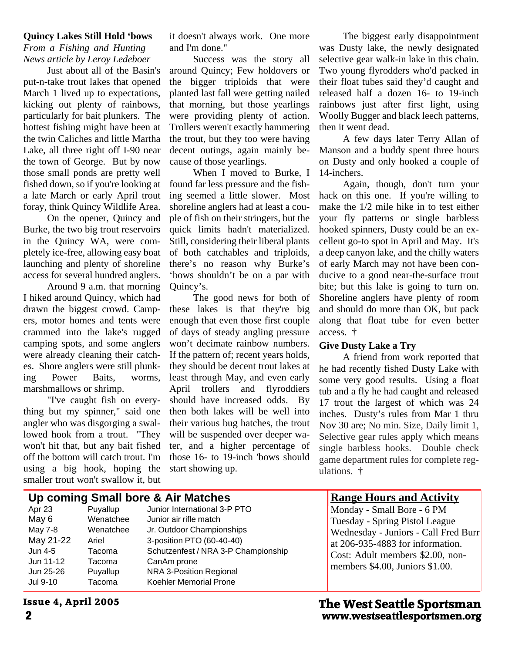#### **Quincy Lakes Still Hold 'bows**

*From a Fishing and Hunting News article by Leroy Ledeboer*

Just about all of the Basin's put-n-take trout lakes that opened March 1 lived up to expectations, kicking out plenty of rainbows, particularly for bait plunkers. The hottest fishing might have been at the twin Caliches and little Martha Lake, all three right off I-90 near the town of George. But by now those small ponds are pretty well fished down, so if you're looking at a late March or early April trout foray, think Quincy Wildlife Area.

On the opener, Quincy and Burke, the two big trout reservoirs in the Quincy WA, were completely ice-free, allowing easy boat launching and plenty of shoreline access for several hundred anglers.

Around 9 a.m. that morning I hiked around Quincy, which had drawn the biggest crowd. Campers, motor homes and tents were crammed into the lake's rugged camping spots, and some anglers were already cleaning their catches. Shore anglers were still plunking Power Baits, worms, marshmallows or shrimp.

"I've caught fish on everything but my spinner," said one angler who was disgorging a swallowed hook from a trout. "They won't hit that, but any bait fished off the bottom will catch trout. I'm using a big hook, hoping the smaller trout won't swallow it, but

it doesn't always work. One more and I'm done."

Success was the story all around Quincy; Few holdovers or the bigger triploids that were planted last fall were getting nailed that morning, but those yearlings were providing plenty of action. Trollers weren't exactly hammering the trout, but they too were having decent outings, again mainly because of those yearlings.

When I moved to Burke, I found far less pressure and the fishing seemed a little slower. Most shoreline anglers had at least a couple of fish on their stringers, but the quick limits hadn't materialized. Still, considering their liberal plants of both catchables and triploids, there's no reason why Burke's 'bows shouldn't be on a par with Quincy's.

The good news for both of these lakes is that they're big enough that even those first couple of days of steady angling pressure won't decimate rainbow numbers. If the pattern of; recent years holds, they should be decent trout lakes at least through May, and even early April trollers and flyroddiers should have increased odds. By then both lakes will be well into their various bug hatches, the trout will be suspended over deeper water, and a higher percentage of those 16- to 19-inch 'bows should start showing up.

The biggest early disappointment was Dusty lake, the newly designated selective gear walk-in lake in this chain. Two young flyrodders who'd packed in their float tubes said they'd caught and released half a dozen 16- to 19-inch rainbows just after first light, using Woolly Bugger and black leech patterns, then it went dead.

A few days later Terry Allan of Manson and a buddy spent three hours on Dusty and only hooked a couple of 14-inchers.

Again, though, don't turn your hack on this one. If you're willing to make the 1/2 mile hike in to test either your fly patterns or single barbless hooked spinners, Dusty could be an excellent go-to spot in April and May. It's a deep canyon lake, and the chilly waters of early March may not have been conducive to a good near-the-surface trout bite; but this lake is going to turn on. Shoreline anglers have plenty of room and should do more than OK, but pack along that float tube for even better access. †

#### **Give Dusty Lake a Try**

A friend from work reported that he had recently fished Dusty Lake with some very good results. Using a float tub and a fly he had caught and released 17 trout the largest of which was 24 inches. Dusty's rules from Mar 1 thru Nov 30 are; No min. Size, Daily limit 1, Selective gear rules apply which means single barbless hooks. Double check game department rules for complete regulations. †

# **Up coming Small bore & Air Matches**

| Apr 23    | Puyallup  | Junior International 3-P PTO        |
|-----------|-----------|-------------------------------------|
| May 6     | Wenatchee | Junior air rifle match              |
| May 7-8   | Wenatchee | Jr. Outdoor Championships           |
| May 21-22 | Ariel     | 3-position PTO (60-40-40)           |
| Jun 4-5   | Tacoma    | Schutzenfest / NRA 3-P Championship |
| Jun 11-12 | Tacoma    | CanAm prone                         |
| Jun 25-26 | Puyallup  | <b>NRA 3-Position Regional</b>      |
| Jul 9-10  | Tacoma    | Koehler Memorial Prone              |
|           |           |                                     |

### **Range Hours and Activity**

Monday - Small Bore - 6 PM Tuesday - Spring Pistol League Wednesday - Juniors - Call Fred Burr at 206-935-4883 for information. Cost: Adult members \$2.00, nonmembers \$4.00, Juniors \$1.00.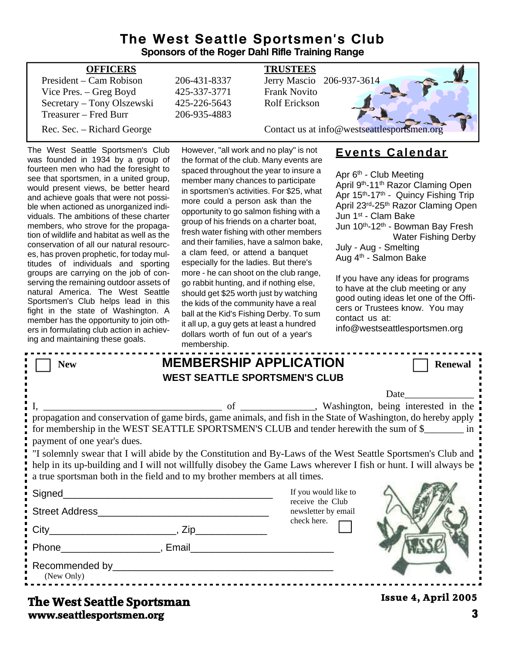#### **The West Seattle Sportsmen's Club Sponsors of the Roger Dahl Rifle Training Range**

| <b>OFFICERS</b>            |              | <b>TRUSTEES</b>                             |
|----------------------------|--------------|---------------------------------------------|
| President – Cam Robison    | 206-431-8337 | Jerry Mascio 206-937-3614                   |
| Vice Pres. – Greg Boyd     | 425-337-3771 | <b>Frank Novito</b>                         |
| Secretary - Tony Olszewski | 425-226-5643 | <b>Rolf Erickson</b>                        |
| Treasurer – Fred Burr      | 206-935-4883 |                                             |
| Rec. Sec. – Richard George |              | Contact us at info@westseattlesportsmen.org |
|                            |              |                                             |

The West Seattle Sportsmen's Club was founded in 1934 by a group of fourteen men who had the foresight to see that sportsmen, in a united group, would present views, be better heard and achieve goals that were not possible when actioned as unorganized individuals. The ambitions of these charter members, who strove for the propagation of wildlife and habitat as well as the conservation of all our natural resources, has proven prophetic, for today multitudes of individuals and sporting groups are carrying on the job of conserving the remaining outdoor assets of natural America. The West Seattle Sportsmen's Club helps lead in this fight in the state of Washington. A member has the opportunity to join others in formulating club action in achieving and maintaining these goals.

However, "all work and no play" is not the format of the club. Many events are spaced throughout the year to insure a member many chances to participate in sportsmen's activities. For \$25, what more could a person ask than the opportunity to go salmon fishing with a group of his friends on a charter boat, fresh water fishing with other members and their families, have a salmon bake, a clam feed, or attend a banquet especially for the ladies. But there's more - he can shoot on the club range, go rabbit hunting, and if nothing else, should get \$25 worth just by watching the kids of the community have a real ball at the Kid's Fishing Derby. To sum it all up, a guy gets at least a hundred dollars worth of fun out of a year's membership.

# **Events Calendar**

Apr 6<sup>th</sup> - Club Meeting April 9th-11th Razor Claming Open Apr 15<sup>th</sup>-17<sup>th</sup> - Quincy Fishing Trip April 23rd-25th Razor Claming Open Jun 1st - Clam Bake Jun 10<sup>th</sup>-12<sup>th</sup> - Bowman Bay Fresh Water Fishing Derby July - Aug - Smelting Aug 4th - Salmon Bake

If you have any ideas for programs to have at the club meeting or any good outing ideas let one of the Officers or Trustees know. You may contact us at:

info@westseattlesportsmen.org

| <b>New</b>                                                                                                                                                                                                                                                                                                     | <b>MEMBERSHIP APPLICATION</b><br><b>WEST SEATTLE SPORTSMEN'S CLUB</b> |                                          | <b>Renewal</b>      |  |  |  |
|----------------------------------------------------------------------------------------------------------------------------------------------------------------------------------------------------------------------------------------------------------------------------------------------------------------|-----------------------------------------------------------------------|------------------------------------------|---------------------|--|--|--|
|                                                                                                                                                                                                                                                                                                                |                                                                       |                                          | <b>Date</b>         |  |  |  |
| propagation and conservation of game birds, game animals, and fish in the State of Washington, do hereby apply<br>for membership in the WEST SEATTLE SPORTSMEN'S CLUB and tender herewith the sum of \$<br>payment of one year's dues.                                                                         |                                                                       |                                          |                     |  |  |  |
| "I solemnly swear that I will abide by the Constitution and By-Laws of the West Seattle Sportsmen's Club and<br>help in its up-building and I will not willfully disobey the Game Laws wherever I fish or hunt. I will always be<br>a true sportsman both in the field and to my brother members at all times. |                                                                       |                                          |                     |  |  |  |
|                                                                                                                                                                                                                                                                                                                | <u> 1980 - Johann Barn, mars an t-Amerikaansk politiker (</u>         | If you would like to<br>receive the Club |                     |  |  |  |
| Street Address                                                                                                                                                                                                                                                                                                 |                                                                       | newsletter by email                      |                     |  |  |  |
|                                                                                                                                                                                                                                                                                                                |                                                                       | check here.                              |                     |  |  |  |
| Phone Reserves and Phone Reserves and Phone Reserves and Phone Reserves and Phone Reserves and Phone Reserves and Phone Reserves and Phone Reserves and Phone Reserves and Phone Reserves and Phone Reserves and Phone Reserve                                                                                 |                                                                       |                                          |                     |  |  |  |
| (New Only)                                                                                                                                                                                                                                                                                                     |                                                                       |                                          |                     |  |  |  |
| The West Seattle Sportsman                                                                                                                                                                                                                                                                                     |                                                                       |                                          | Issue 4, April 2005 |  |  |  |

### **www.seattlesportsmen.org 3 The West Seattle Sportsman**